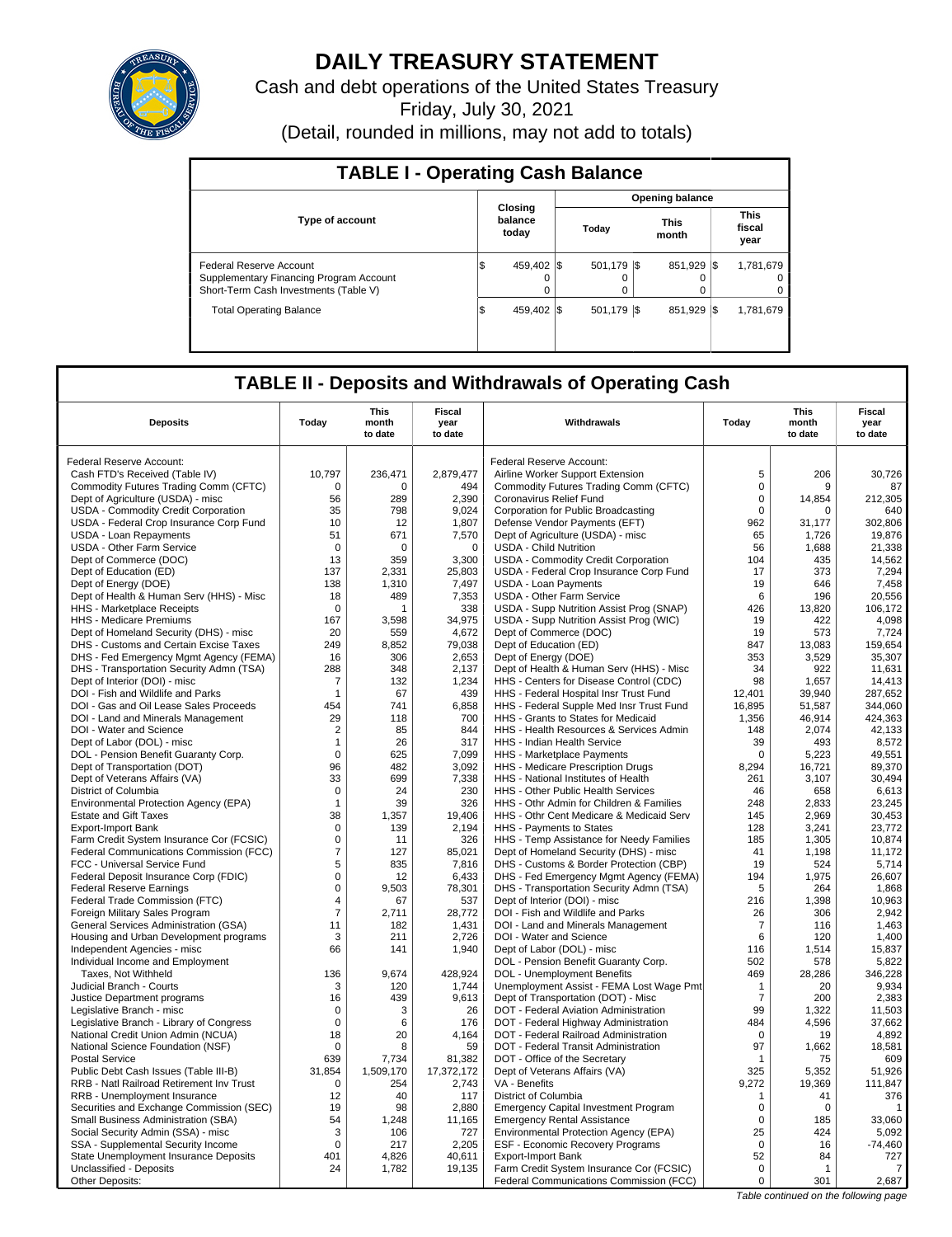

# **DAILY TREASURY STATEMENT**

Cash and debt operations of the United States Treasury

Friday, July 30, 2021

(Detail, rounded in millions, may not add to totals)

| <b>TABLE I - Operating Cash Balance</b>                                                                     |                               |                   |                        |                               |  |  |  |  |  |  |
|-------------------------------------------------------------------------------------------------------------|-------------------------------|-------------------|------------------------|-------------------------------|--|--|--|--|--|--|
|                                                                                                             |                               |                   | <b>Opening balance</b> |                               |  |  |  |  |  |  |
| <b>Type of account</b>                                                                                      | Closing<br>balance<br>today   | Today             | This<br>month          | <b>This</b><br>fiscal<br>year |  |  |  |  |  |  |
| Federal Reserve Account<br>Supplementary Financing Program Account<br>Short-Term Cash Investments (Table V) | 459.402 \\$<br>\$<br>$\Omega$ | 501,179   \$<br>0 | 851.929 \\$            | 1,781,679<br>0<br>0           |  |  |  |  |  |  |
| <b>Total Operating Balance</b>                                                                              | 459.402 \\ \$<br>\$           | 501,179 \$        | 851.929                | 1,781,679<br>- IS             |  |  |  |  |  |  |

# **TABLE II - Deposits and Withdrawals of Operating Cash**

|                                                                                     | <b>This</b><br>Fiscal |                  |                 | This                                                                                | <b>Fiscal</b>  |                  |                 |
|-------------------------------------------------------------------------------------|-----------------------|------------------|-----------------|-------------------------------------------------------------------------------------|----------------|------------------|-----------------|
| <b>Deposits</b>                                                                     | Today                 | month<br>to date | year<br>to date | Withdrawals                                                                         | Today          | month<br>to date | year<br>to date |
|                                                                                     |                       |                  |                 |                                                                                     |                |                  |                 |
| Federal Reserve Account:                                                            |                       |                  |                 | Federal Reserve Account:                                                            |                |                  |                 |
| Cash FTD's Received (Table IV)                                                      | 10,797                | 236,471          | 2,879,477       | Airline Worker Support Extension                                                    | 5              | 206              | 30,726          |
| Commodity Futures Trading Comm (CFTC)                                               | $\Omega$              | $\Omega$         | 494             | Commodity Futures Trading Comm (CFTC)                                               | $\mathbf 0$    | 9                | 87              |
| Dept of Agriculture (USDA) - misc                                                   | 56                    | 289              | 2.390           | <b>Coronavirus Relief Fund</b>                                                      | $\mathbf 0$    | 14.854           | 212.305         |
| USDA - Commodity Credit Corporation                                                 | 35                    | 798              | 9,024           | Corporation for Public Broadcasting                                                 | $\Omega$       | $\Omega$         | 640             |
| USDA - Federal Crop Insurance Corp Fund                                             | 10                    | 12               | 1.807           | Defense Vendor Payments (EFT)                                                       | 962            | 31,177           | 302.806         |
| USDA - Loan Repayments                                                              | 51                    | 671              | 7,570           | Dept of Agriculture (USDA) - misc                                                   | 65             | 1,726            | 19,876          |
| USDA - Other Farm Service                                                           | $\Omega$              | $\Omega$         | $\Omega$        | <b>USDA - Child Nutrition</b>                                                       | 56             | 1,688            | 21,338          |
| Dept of Commerce (DOC)                                                              | 13                    | 359              | 3,300           | <b>USDA - Commodity Credit Corporation</b>                                          | 104            | 435              | 14,562          |
| Dept of Education (ED)                                                              | 137                   | 2,331            | 25,803          | USDA - Federal Crop Insurance Corp Fund                                             | 17             | 373              | 7.294           |
| Dept of Energy (DOE)                                                                | 138                   | 1,310            | 7,497           | <b>USDA - Loan Payments</b>                                                         | 19             | 646              | 7,458           |
| Dept of Health & Human Serv (HHS) - Misc                                            | 18                    | 489              | 7,353           | USDA - Other Farm Service                                                           | 6              | 196              | 20,556          |
| <b>HHS</b> - Marketplace Receipts                                                   | $\mathbf 0$           | 1                | 338             | USDA - Supp Nutrition Assist Prog (SNAP)                                            | 426            | 13.820           | 106.172         |
| HHS - Medicare Premiums                                                             | 167                   | 3,598            | 34,975          | USDA - Supp Nutrition Assist Prog (WIC)                                             | 19             | 422              | 4,098           |
| Dept of Homeland Security (DHS) - misc                                              | 20                    | 559              | 4,672           | Dept of Commerce (DOC)                                                              | 19             | 573              | 7,724           |
| DHS - Customs and Certain Excise Taxes                                              | 249                   | 8,852            | 79,038          | Dept of Education (ED)                                                              | 847            | 13,083           | 159,654         |
|                                                                                     | 16                    | 306              | 2,653           | Dept of Energy (DOE)                                                                | 353            | 3,529            | 35,307          |
| DHS - Fed Emergency Mgmt Agency (FEMA)<br>DHS - Transportation Security Admn (TSA)  | 288                   | 348              | 2,137           | Dept of Health & Human Serv (HHS) - Misc                                            | 34             | 922              | 11,631          |
| Dept of Interior (DOI) - misc                                                       | 7                     | 132              |                 |                                                                                     | 98             | 1,657            | 14,413          |
| DOI - Fish and Wildlife and Parks                                                   | -1                    | 67               | 1,234<br>439    | HHS - Centers for Disease Control (CDC)<br>HHS - Federal Hospital Insr Trust Fund   | 12,401         | 39,940           | 287,652         |
| DOI - Gas and Oil Lease Sales Proceeds                                              | 454                   | 741              | 6,858           | HHS - Federal Supple Med Insr Trust Fund                                            | 16,895         | 51,587           | 344,060         |
|                                                                                     | 29                    | 118              | 700             | HHS - Grants to States for Medicaid                                                 | 1,356          | 46.914           | 424.363         |
| DOI - Land and Minerals Management<br>DOI - Water and Science                       | $\overline{2}$        | 85               | 844             | HHS - Health Resources & Services Admin                                             | 148            | 2,074            | 42,133          |
| Dept of Labor (DOL) - misc                                                          | $\mathbf{1}$          | 26               | 317             | <b>HHS - Indian Health Service</b>                                                  | 39             | 493              |                 |
| DOL - Pension Benefit Guaranty Corp.                                                | $\mathbf 0$           | 625              | 7,099           | HHS - Marketplace Payments                                                          | $\mathbf 0$    | 5,223            | 8,572<br>49,551 |
| Dept of Transportation (DOT)                                                        | 96                    | 482              | 3,092           | HHS - Medicare Prescription Drugs                                                   | 8,294          | 16,721           | 89,370          |
|                                                                                     | 33                    | 699              | 7,338           | HHS - National Institutes of Health                                                 | 261            | 3,107            | 30,494          |
| Dept of Veterans Affairs (VA)                                                       | $\mathbf 0$           | 24               | 230             | HHS - Other Public Health Services                                                  | 46             | 658              | 6,613           |
| District of Columbia                                                                |                       | 39               | 326             | HHS - Othr Admin for Children & Families                                            | 248            | 2,833            | 23,245          |
| Environmental Protection Agency (EPA)<br><b>Estate and Gift Taxes</b>               | $\mathbf{1}$<br>38    | 1,357            | 19,406          | HHS - Othr Cent Medicare & Medicaid Serv                                            | 145            | 2,969            | 30,453          |
| <b>Export-Import Bank</b>                                                           | $\mathbf 0$           | 139              | 2,194           | HHS - Payments to States                                                            | 128            | 3,241            | 23,772          |
|                                                                                     | $\mathbf 0$           |                  | 326             |                                                                                     | 185            | 1,305            | 10,874          |
| Farm Credit System Insurance Cor (FCSIC)<br>Federal Communications Commission (FCC) | $\overline{7}$        | 11<br>127        | 85.021          | HHS - Temp Assistance for Needy Families                                            | 41             | 1,198            | 11,172          |
|                                                                                     | 5                     | 835              | 7,816           | Dept of Homeland Security (DHS) - misc                                              | 19             | 524              |                 |
| FCC - Universal Service Fund<br>Federal Deposit Insurance Corp (FDIC)               | $\mathbf 0$           | 12               | 6,433           | DHS - Customs & Border Protection (CBP)<br>DHS - Fed Emergency Mgmt Agency (FEMA)   | 194            | 1,975            | 5,714<br>26,607 |
|                                                                                     | $\mathsf 0$           | 9,503            | 78,301          | DHS - Transportation Security Admn (TSA)                                            | 5              | 264              | 1,868           |
| <b>Federal Reserve Earnings</b><br>Federal Trade Commission (FTC)                   | $\overline{4}$        | 67               | 537             | Dept of Interior (DOI) - misc                                                       | 216            | 1,398            | 10,963          |
| Foreign Military Sales Program                                                      | $\overline{7}$        | 2,711            | 28,772          | DOI - Fish and Wildlife and Parks                                                   | 26             | 306              | 2,942           |
| General Services Administration (GSA)                                               | 11                    | 182              | 1,431           | DOI - Land and Minerals Management                                                  | 7              | 116              | 1,463           |
| Housing and Urban Development programs                                              | 3                     | 211              | 2,726           | DOI - Water and Science                                                             | 6              | 120              | 1,400           |
| Independent Agencies - misc                                                         | 66                    | 141              | 1,940           | Dept of Labor (DOL) - misc                                                          | 116            | 1,514            | 15,837          |
| Individual Income and Employment                                                    |                       |                  |                 | DOL - Pension Benefit Guaranty Corp.                                                | 502            | 578              | 5.822           |
| Taxes, Not Withheld                                                                 | 136                   | 9,674            | 428,924         | DOL - Unemployment Benefits                                                         | 469            | 28,286           | 346,228         |
| Judicial Branch - Courts                                                            | 3                     | 120              | 1.744           | Unemployment Assist - FEMA Lost Wage Pmt                                            | $\mathbf 1$    | 20               | 9,934           |
| Justice Department programs                                                         | 16                    | 439              | 9,613           | Dept of Transportation (DOT) - Misc                                                 | $\overline{7}$ | 200              | 2,383           |
| Legislative Branch - misc                                                           | 0                     | 3                | 26              | DOT - Federal Aviation Administration                                               | 99             | 1,322            | 11,503          |
| Legislative Branch - Library of Congress                                            | $\mathbf 0$           | 6                | 176             | DOT - Federal Highway Administration                                                | 484            | 4,596            | 37,662          |
| National Credit Union Admin (NCUA)                                                  | 18                    | 20               | 4,164           | DOT - Federal Railroad Administration                                               | $\Omega$       | 19               | 4,892           |
| National Science Foundation (NSF)                                                   | $\mathbf 0$           | 8                | 59              | DOT - Federal Transit Administration                                                | 97             | 1,662            | 18.581          |
| <b>Postal Service</b>                                                               | 639                   | 7,734            | 81,382          | DOT - Office of the Secretary                                                       | $\mathbf{1}$   | 75               | 609             |
| Public Debt Cash Issues (Table III-B)                                               | 31.854                | 1,509,170        | 17,372,172      | Dept of Veterans Affairs (VA)                                                       | 325            | 5,352            | 51.926          |
| RRB - Natl Railroad Retirement Inv Trust                                            | $\mathbf 0$           | 254              | 2,743           | VA - Benefits                                                                       | 9,272          | 19,369           | 111,847         |
| RRB - Unemployment Insurance                                                        | 12                    | 40               | 117             |                                                                                     | $\mathbf{1}$   | 41               | 376             |
| Securities and Exchange Commission (SEC)                                            | 19                    | 98               | 2,880           | District of Columbia<br><b>Emergency Capital Investment Program</b>                 | $\mathbf 0$    | $\mathbf 0$      |                 |
|                                                                                     | 54                    | 1,248            | 11,165          |                                                                                     | $\Omega$       | 185              | 33,060          |
| Small Business Administration (SBA)<br>Social Security Admin (SSA) - misc           | 3                     | 106              | 727             | <b>Emergency Rental Assistance</b><br>Environmental Protection Agency (EPA)         | 25             | 424              | 5,092           |
| SSA - Supplemental Security Income                                                  | $\mathbf 0$           | 217              | 2,205           | ESF - Economic Recovery Programs                                                    | 0              | 16               | $-74,460$       |
|                                                                                     | 401                   | 4.826            | 40.611          |                                                                                     | 52             | 84               |                 |
| State Unemployment Insurance Deposits<br>Unclassified - Deposits                    | 24                    | 1,782            | 19,135          | Export-Import Bank                                                                  | $\mathbf 0$    | $\overline{1}$   | 727<br>7        |
| Other Deposits:                                                                     |                       |                  |                 | Farm Credit System Insurance Cor (FCSIC)<br>Federal Communications Commission (FCC) | 0              | 301              | 2,687           |
|                                                                                     |                       |                  |                 |                                                                                     |                |                  |                 |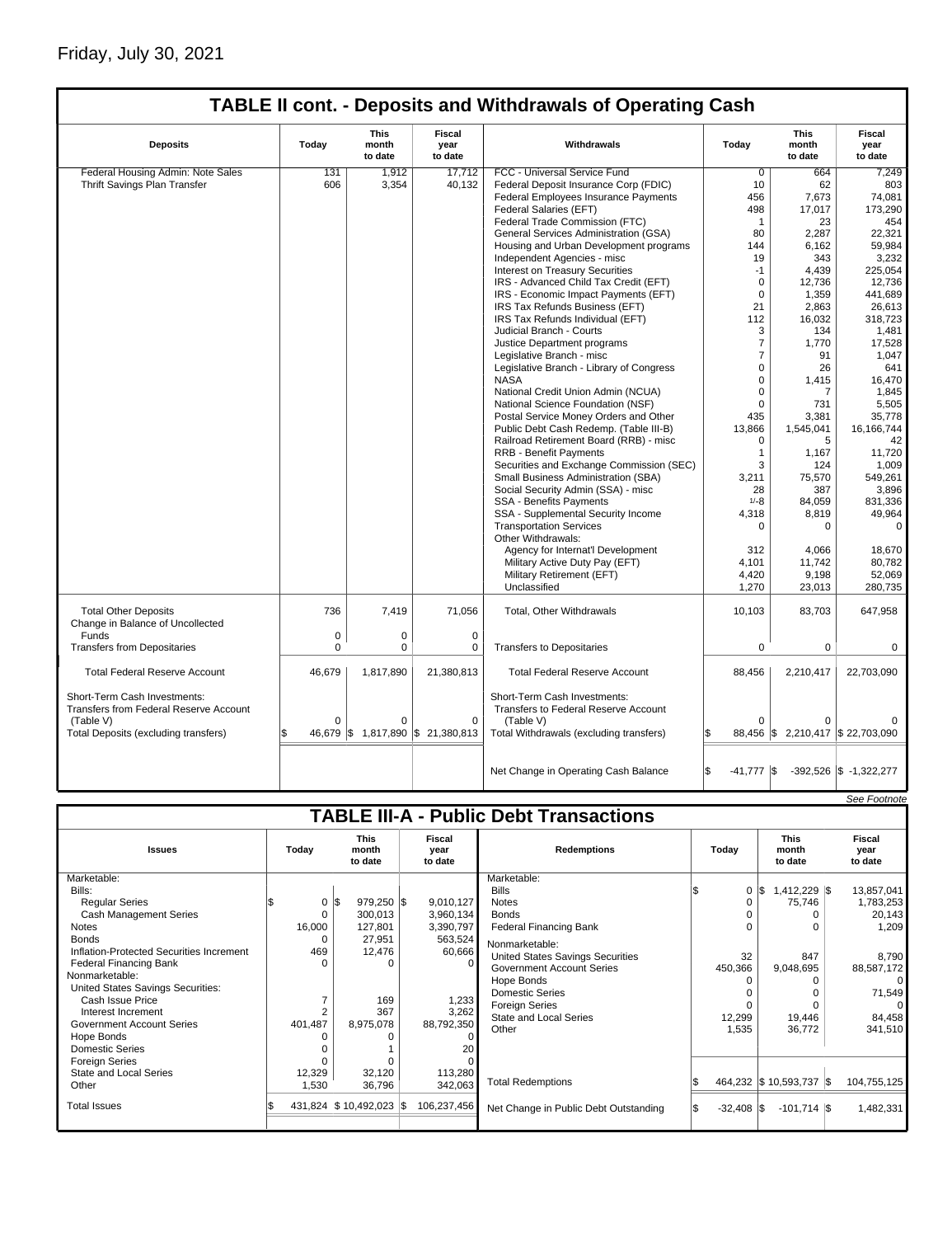# Friday, July 30, 2021

|                                                                                                                             |          |                                 |                                                | <b>TABLE II cont. - Deposits and Withdrawals of Operating Cash</b>                                                           |                              |                                 |                                  |
|-----------------------------------------------------------------------------------------------------------------------------|----------|---------------------------------|------------------------------------------------|------------------------------------------------------------------------------------------------------------------------------|------------------------------|---------------------------------|----------------------------------|
| <b>Deposits</b>                                                                                                             | Today    | <b>This</b><br>month<br>to date | Fiscal<br>Withdrawals<br>year<br>to date       |                                                                                                                              | Today                        | <b>This</b><br>month<br>to date | <b>Fiscal</b><br>year<br>to date |
| Federal Housing Admin: Note Sales                                                                                           | 131      | 1,912                           | 17,712                                         | FCC - Universal Service Fund                                                                                                 | $\overline{0}$               | 664                             | 7,249                            |
| Thrift Savings Plan Transfer                                                                                                | 606      | 3,354                           | 40,132                                         | Federal Deposit Insurance Corp (FDIC)                                                                                        | 10                           | 62                              | 803                              |
|                                                                                                                             |          |                                 |                                                | Federal Employees Insurance Payments                                                                                         | 456                          | 7,673                           | 74,081                           |
|                                                                                                                             |          |                                 |                                                | Federal Salaries (EFT)                                                                                                       | 498                          | 17,017                          | 173,290                          |
|                                                                                                                             |          |                                 |                                                | Federal Trade Commission (FTC)                                                                                               | $\mathbf{1}$                 | 23                              | 454                              |
|                                                                                                                             |          |                                 |                                                |                                                                                                                              | 80                           |                                 | 22,321                           |
|                                                                                                                             |          |                                 |                                                | General Services Administration (GSA)                                                                                        |                              | 2,287                           |                                  |
|                                                                                                                             |          |                                 |                                                | Housing and Urban Development programs                                                                                       | 144                          | 6,162                           | 59,984                           |
|                                                                                                                             |          |                                 |                                                | Independent Agencies - misc                                                                                                  | 19                           | 343                             | 3,232                            |
|                                                                                                                             |          |                                 |                                                | Interest on Treasury Securities                                                                                              | $-1$                         | 4,439                           | 225,054                          |
|                                                                                                                             |          |                                 |                                                | IRS - Advanced Child Tax Credit (EFT)                                                                                        | $\mathbf 0$                  | 12,736                          | 12,736                           |
|                                                                                                                             |          |                                 |                                                | IRS - Economic Impact Payments (EFT)                                                                                         | $\mathbf 0$                  | 1,359                           | 441,689                          |
|                                                                                                                             |          |                                 |                                                | IRS Tax Refunds Business (EFT)                                                                                               | 21                           | 2,863                           | 26,613                           |
|                                                                                                                             |          |                                 |                                                | IRS Tax Refunds Individual (EFT)                                                                                             | 112                          | 16,032                          | 318,723                          |
|                                                                                                                             |          |                                 |                                                | Judicial Branch - Courts                                                                                                     | 3                            | 134                             | 1,481                            |
|                                                                                                                             |          |                                 |                                                | Justice Department programs                                                                                                  | $\overline{7}$               | 1,770                           | 17,528                           |
|                                                                                                                             |          |                                 |                                                | Legislative Branch - misc                                                                                                    | $\overline{7}$               | 91                              | 1,047                            |
|                                                                                                                             |          |                                 |                                                | Legislative Branch - Library of Congress                                                                                     | $\overline{0}$               | 26                              | 641                              |
|                                                                                                                             |          |                                 |                                                | <b>NASA</b>                                                                                                                  | $\overline{0}$               | 1,415                           | 16,470                           |
|                                                                                                                             |          |                                 |                                                | National Credit Union Admin (NCUA)                                                                                           | $\Omega$                     | $\overline{7}$                  | 1,845                            |
|                                                                                                                             |          |                                 |                                                | National Science Foundation (NSF)                                                                                            | $\Omega$                     | 731                             | 5,505                            |
|                                                                                                                             |          |                                 |                                                | Postal Service Money Orders and Other                                                                                        | 435                          | 3,381                           | 35,778                           |
|                                                                                                                             |          |                                 |                                                | Public Debt Cash Redemp. (Table III-B)                                                                                       | 13,866                       | 1,545,041                       | 16.166.744                       |
|                                                                                                                             |          |                                 |                                                | Railroad Retirement Board (RRB) - misc                                                                                       | 0                            | 5                               | 42                               |
|                                                                                                                             |          |                                 |                                                | <b>RRB - Benefit Payments</b>                                                                                                | $\mathbf{1}$                 | 1,167                           | 11.720                           |
|                                                                                                                             |          |                                 |                                                | Securities and Exchange Commission (SEC)                                                                                     | 3                            | 124                             | 1,009                            |
|                                                                                                                             |          |                                 |                                                | Small Business Administration (SBA)                                                                                          | 3,211                        | 75,570                          | 549,261                          |
|                                                                                                                             |          |                                 |                                                | Social Security Admin (SSA) - misc                                                                                           | 28                           | 387                             | 3,896                            |
|                                                                                                                             |          |                                 |                                                | <b>SSA - Benefits Payments</b>                                                                                               | $1/-8$                       | 84,059                          | 831,336                          |
|                                                                                                                             |          |                                 |                                                | SSA - Supplemental Security Income                                                                                           | 4,318                        | 8.819                           | 49,964                           |
|                                                                                                                             |          |                                 |                                                | <b>Transportation Services</b>                                                                                               | $\Omega$                     | $\Omega$                        | $\Omega$                         |
|                                                                                                                             |          |                                 |                                                | Other Withdrawals:                                                                                                           |                              |                                 |                                  |
|                                                                                                                             |          |                                 |                                                | Agency for Internat'l Development                                                                                            | 312                          | 4.066                           | 18,670                           |
|                                                                                                                             |          |                                 |                                                | Military Active Duty Pay (EFT)                                                                                               | 4,101                        | 11,742                          | 80,782                           |
|                                                                                                                             |          |                                 |                                                | Military Retirement (EFT)                                                                                                    | 4,420                        | 9,198                           | 52,069                           |
|                                                                                                                             |          |                                 |                                                | Unclassified                                                                                                                 | 1,270                        | 23,013                          | 280,735                          |
|                                                                                                                             |          |                                 |                                                |                                                                                                                              |                              |                                 |                                  |
| <b>Total Other Deposits</b><br>Change in Balance of Uncollected                                                             | 736      | 7,419                           | 71,056                                         | Total, Other Withdrawals                                                                                                     | 10,103                       | 83,703                          | 647,958                          |
| Funds                                                                                                                       | 0        | $\mathbf 0$                     | $\mathbf 0$                                    |                                                                                                                              |                              |                                 |                                  |
| <b>Transfers from Depositaries</b>                                                                                          | $\Omega$ | $\Omega$                        | $\mathbf 0$                                    | <b>Transfers to Depositaries</b>                                                                                             | $\Omega$                     | $\Omega$                        | $\Omega$                         |
| <b>Total Federal Reserve Account</b>                                                                                        | 46,679   | 1,817,890                       | 21,380,813                                     | <b>Total Federal Reserve Account</b>                                                                                         | 88,456                       | 2,210,417                       | 22,703,090                       |
| Short-Term Cash Investments:<br>Transfers from Federal Reserve Account<br>(Table V)<br>Total Deposits (excluding transfers) | $\Omega$ | $\Omega$                        | $\mathbf 0$<br>46,679 \$1,817,890 \$21,380,813 | Short-Term Cash Investments:<br>Transfers to Federal Reserve Account<br>(Table V)<br>Total Withdrawals (excluding transfers) | $\Omega$                     | $\Omega$                        | 88,456 \$2,210,417 \$22,703,090  |
|                                                                                                                             |          |                                 |                                                |                                                                                                                              |                              |                                 |                                  |
|                                                                                                                             |          |                                 |                                                | Net Change in Operating Cash Balance                                                                                         | l\$<br>$-41,777$ $\sqrt{\$}$ |                                 | $-392,526$ \$ $-1,322,277$       |

|                                                                                                                                                                                                                                                                                                                                                                                                                  |                                                                        |                                                                                                                   |                                                                                                                      |                                                                                                                                                                                                                                                                                                                               |                                                        |                                                                                                    | See Footnote                                                                                                                |
|------------------------------------------------------------------------------------------------------------------------------------------------------------------------------------------------------------------------------------------------------------------------------------------------------------------------------------------------------------------------------------------------------------------|------------------------------------------------------------------------|-------------------------------------------------------------------------------------------------------------------|----------------------------------------------------------------------------------------------------------------------|-------------------------------------------------------------------------------------------------------------------------------------------------------------------------------------------------------------------------------------------------------------------------------------------------------------------------------|--------------------------------------------------------|----------------------------------------------------------------------------------------------------|-----------------------------------------------------------------------------------------------------------------------------|
|                                                                                                                                                                                                                                                                                                                                                                                                                  |                                                                        |                                                                                                                   |                                                                                                                      | <b>TABLE III-A - Public Debt Transactions</b>                                                                                                                                                                                                                                                                                 |                                                        |                                                                                                    |                                                                                                                             |
| <b>Issues</b>                                                                                                                                                                                                                                                                                                                                                                                                    | Today                                                                  | <b>This</b><br>month<br>to date                                                                                   | Fiscal<br>year<br>to date                                                                                            | <b>Redemptions</b>                                                                                                                                                                                                                                                                                                            | Todav                                                  | <b>This</b><br>month<br>to date                                                                    | Fiscal<br>year<br>to date                                                                                                   |
| Marketable:<br>Bills:<br><b>Regular Series</b><br><b>Cash Management Series</b><br><b>Notes</b><br><b>Bonds</b><br>Inflation-Protected Securities Increment<br>Federal Financing Bank<br>Nonmarketable:<br>United States Savings Securities:<br>Cash Issue Price<br>Interest Increment<br><b>Government Account Series</b><br>Hope Bonds<br>Domestic Series<br>Foreign Series<br>State and Local Series<br>Other | 0<br>0<br>16,000<br>0<br>469<br>$\Omega$<br>401,487<br>12,329<br>1,530 | l\$<br>$979,250$ \$<br>300,013<br>127,801<br>27,951<br>12.476<br>O<br>169<br>367<br>8,975,078<br>32,120<br>36,796 | 9,010,127<br>3,960,134<br>3,390,797<br>563,524<br>60,666<br>1,233<br>3,262<br>88,792,350<br>20<br>113,280<br>342,063 | Marketable:<br><b>Bills</b><br><b>Notes</b><br><b>Bonds</b><br><b>Federal Financing Bank</b><br>Nonmarketable:<br><b>United States Savings Securities</b><br><b>Government Account Series</b><br>Hope Bonds<br>Domestic Series<br><b>Foreign Series</b><br><b>State and Local Series</b><br>Other<br><b>Total Redemptions</b> | 0<br>0<br>32<br>450,366<br>$\Omega$<br>12,299<br>1,535 | l\$<br>$1,412,229$ \$<br>75,746<br>847<br>9,048,695<br>19,446<br>36,772<br>464,232 \$10,593,737 \$ | 13,857,041<br>1,783,253<br>20,143<br>1,209<br>8,790<br>88,587,172<br>$\Omega$<br>71,549<br>84,458<br>341,510<br>104,755,125 |
| <b>Total Issues</b>                                                                                                                                                                                                                                                                                                                                                                                              |                                                                        | 431,824 \$10,492,023 \$                                                                                           | 106,237,456                                                                                                          | Net Change in Public Debt Outstanding                                                                                                                                                                                                                                                                                         | $-32,408$ \\$                                          | $-101,714$ \\$                                                                                     | 1,482,331                                                                                                                   |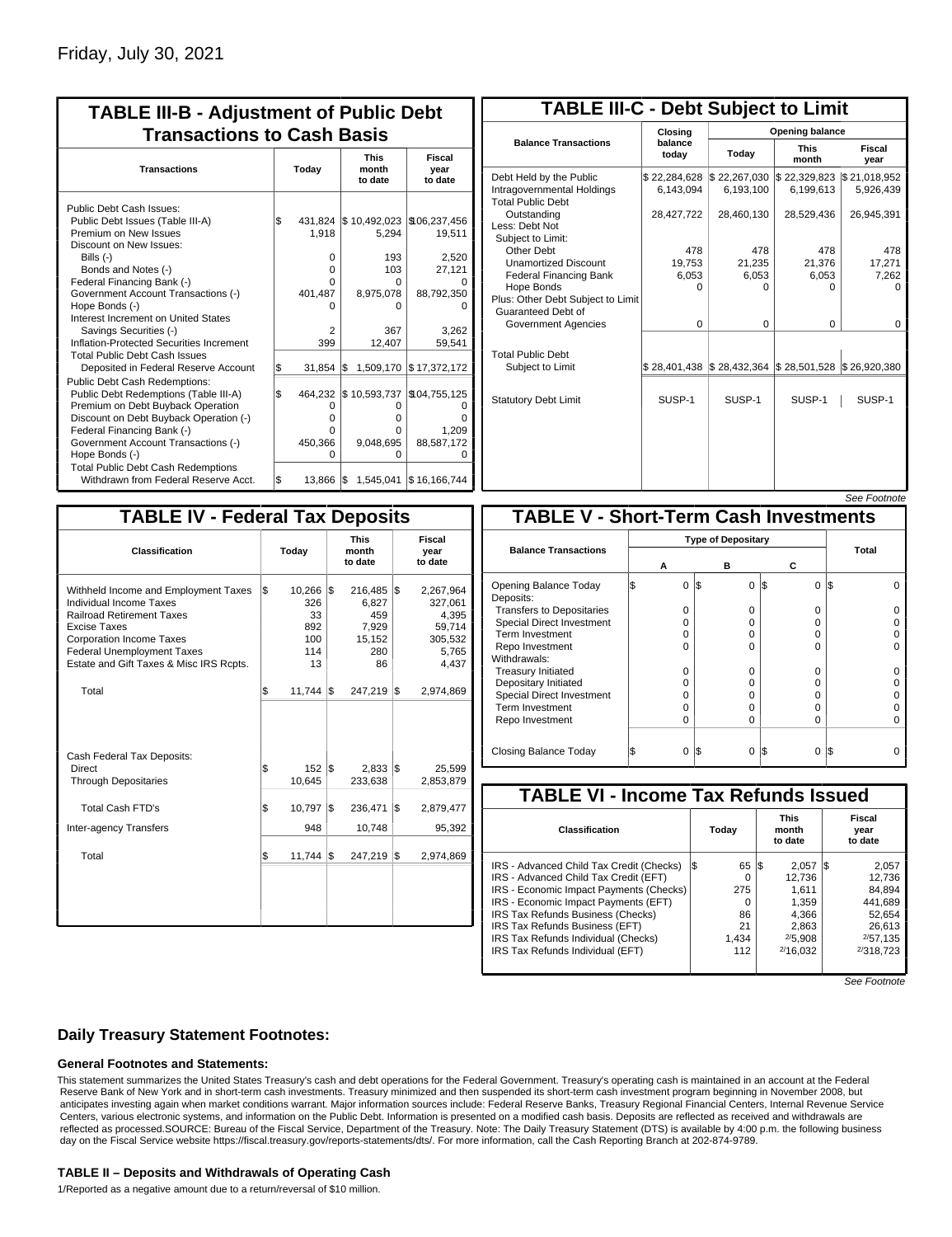| <b>TABLE III-B - Adjustment of Public Debt</b><br><b>Transactions to Cash Basis</b>                                                                                                                                                                                                                                                                                                              |           |                                                  |                                                                                     |                                                                             |  |  |  |  |  |
|--------------------------------------------------------------------------------------------------------------------------------------------------------------------------------------------------------------------------------------------------------------------------------------------------------------------------------------------------------------------------------------------------|-----------|--------------------------------------------------|-------------------------------------------------------------------------------------|-----------------------------------------------------------------------------|--|--|--|--|--|
| <b>Transactions</b>                                                                                                                                                                                                                                                                                                                                                                              |           | Today                                            | <b>This</b><br>month<br>to date                                                     | Fiscal<br>year<br>to date                                                   |  |  |  |  |  |
| Public Debt Cash Issues:<br>Public Debt Issues (Table III-A)<br>Premium on New Issues<br>Discount on New Issues:<br>Bills (-)<br>Bonds and Notes (-)<br>Federal Financing Bank (-)<br>Government Account Transactions (-)<br>Hope Bonds (-)<br>Interest Increment on United States<br>Savings Securities (-)<br>Inflation-Protected Securities Increment<br><b>Total Public Debt Cash Issues</b> | \$        | 1,918<br>0<br>0<br>U<br>401,487<br>n<br>2<br>399 | 431,824 \$10,492,023<br>5,294<br>193<br>103<br>O<br>8,975,078<br>0<br>367<br>12,407 | \$106,237,456<br>19,511<br>2,520<br>27,121<br>88,792,350<br>3.262<br>59,541 |  |  |  |  |  |
| Deposited in Federal Reserve Account<br><b>Public Debt Cash Redemptions:</b><br>Public Debt Redemptions (Table III-A)<br>Premium on Debt Buyback Operation<br>Discount on Debt Buyback Operation (-)<br>Federal Financing Bank (-)<br>Government Account Transactions (-)<br>Hope Bonds (-)<br><b>Total Public Debt Cash Redemptions</b>                                                         | S.<br>l\$ | 31,854<br>464,232<br>0<br>0<br>U<br>450,366<br>O | 1,509,170<br>l\$<br>\$10,593,737<br>O<br>0<br>0<br>9,048,695<br>0                   | \$17,372,172<br>\$104,755,125<br>o<br>1.209<br>88,587,172                   |  |  |  |  |  |
| Withdrawn from Federal Reserve Acct.                                                                                                                                                                                                                                                                                                                                                             | l\$       | 13.866                                           | 1,545,041<br>1\$                                                                    | \$16,166,744                                                                |  |  |  |  |  |

| <b>TABLE III-C - Debt Subject to Limit</b>                                        |                           |                                                                                                     |                           |                           |  |  |  |  |  |
|-----------------------------------------------------------------------------------|---------------------------|-----------------------------------------------------------------------------------------------------|---------------------------|---------------------------|--|--|--|--|--|
|                                                                                   | Closing                   |                                                                                                     | Opening balance           |                           |  |  |  |  |  |
| <b>Balance Transactions</b>                                                       | balance<br>today          | Today                                                                                               | <b>This</b><br>month      | Fiscal<br>year            |  |  |  |  |  |
| Debt Held by the Public<br>Intragovernmental Holdings<br><b>Total Public Debt</b> | \$22,284,628<br>6,143,094 | \$22,267,030<br>6,193,100                                                                           | \$22,329,823<br>6,199,613 | \$21,018,952<br>5,926,439 |  |  |  |  |  |
| Outstanding<br>Less: Debt Not<br>Subiect to Limit:                                | 28,427,722                | 28,460,130                                                                                          | 28,529,436                | 26,945,391                |  |  |  |  |  |
| Other Debt                                                                        | 478                       | 478                                                                                                 | 478                       | 478                       |  |  |  |  |  |
| <b>Unamortized Discount</b>                                                       | 19,753                    | 21,235                                                                                              | 21,376                    | 17,271                    |  |  |  |  |  |
| <b>Federal Financing Bank</b>                                                     | 6,053                     | 6,053                                                                                               | 6,053                     | 7,262                     |  |  |  |  |  |
| Hope Bonds<br>Plus: Other Debt Subject to Limit<br>Guaranteed Debt of             | 0                         | O                                                                                                   | 0                         | o                         |  |  |  |  |  |
| Government Agencies                                                               | $\Omega$                  | $\Omega$                                                                                            | $\Omega$                  | 0                         |  |  |  |  |  |
| <b>Total Public Debt</b><br>Subject to Limit                                      |                           | $\frac{1}{2}$ 28,401,438 $\frac{1}{2}$ 28,432,364 $\frac{1}{2}$ 28,501,528 $\frac{1}{2}$ 26,920,380 |                           |                           |  |  |  |  |  |
| <b>Statutory Debt Limit</b>                                                       | SUSP-1                    | SUSP-1                                                                                              | SUSP-1                    | SUSP-1                    |  |  |  |  |  |
|                                                                                   |                           |                                                                                                     |                           |                           |  |  |  |  |  |

See Footn

| <b>TABLE IV - Federal Tax Deposits</b>                                                                                                                                                                                                 |     |                                                |     |                                                         |                           |                                                                      |  |  |  |
|----------------------------------------------------------------------------------------------------------------------------------------------------------------------------------------------------------------------------------------|-----|------------------------------------------------|-----|---------------------------------------------------------|---------------------------|----------------------------------------------------------------------|--|--|--|
| Classification                                                                                                                                                                                                                         |     | Today                                          |     | <b>This</b><br>month<br>to date                         | Fiscal<br>year<br>to date |                                                                      |  |  |  |
| Withheld Income and Employment Taxes<br>Individual Income Taxes<br><b>Railroad Retirement Taxes</b><br>Excise Taxes<br><b>Corporation Income Taxes</b><br><b>Federal Unemployment Taxes</b><br>Estate and Gift Taxes & Misc IRS Rcpts. | l\$ | 10,266<br>326<br>33<br>892<br>100<br>114<br>13 | 1\$ | 216,485<br>6.827<br>459<br>7,929<br>15,152<br>280<br>86 | 1\$                       | 2,267,964<br>327,061<br>4,395<br>59,714<br>305,532<br>5,765<br>4,437 |  |  |  |
| Total                                                                                                                                                                                                                                  | \$  | $11,744$ $\sqrt{5}$                            |     | 247,219                                                 | 1\$                       | 2,974,869                                                            |  |  |  |
| Cash Federal Tax Deposits:<br>Direct<br><b>Through Depositaries</b>                                                                                                                                                                    | \$  | $152$ $\overline{\text{s}}$<br>10,645          |     | 2,833<br>233,638                                        | 1\$                       | 25,599<br>2,853,879                                                  |  |  |  |
| <b>Total Cash FTD's</b>                                                                                                                                                                                                                | \$  | 10,797                                         | l\$ | 236,471                                                 | l\$                       | 2,879,477                                                            |  |  |  |
| <b>Inter-agency Transfers</b><br>Total                                                                                                                                                                                                 | \$  | 948<br>$11.744$ $\sqrt{3}$                     |     | 10,748<br>247.219                                       | l\$                       | 95,392<br>2,974,869                                                  |  |  |  |
|                                                                                                                                                                                                                                        |     |                                                |     |                                                         |                           |                                                                      |  |  |  |
|                                                                                                                                                                                                                                        |     |                                                |     |                                                         |                           |                                                                      |  |  |  |

|                                              |   |   |     |                           |                 | JEE LOONIOIE |  |  |
|----------------------------------------------|---|---|-----|---------------------------|-----------------|--------------|--|--|
| <b>TABLE V - Short-Term Cash Investments</b> |   |   |     |                           |                 |              |  |  |
|                                              |   |   |     | <b>Type of Depositary</b> |                 |              |  |  |
| <b>Balance Transactions</b>                  | А |   |     | в                         | С               | Total        |  |  |
| Opening Balance Today<br>Deposits:           |   | 0 | 1\$ | 0                         | 1\$<br>$\Omega$ | I\$          |  |  |
| <b>Transfers to Depositaries</b>             |   | 0 |     | $\Omega$                  | 0               |              |  |  |
| <b>Special Direct Investment</b>             |   | 0 |     | 0                         | 0               |              |  |  |
| Term Investment                              |   | O |     | O                         | $\Omega$        |              |  |  |
| Repo Investment                              |   | O |     | 0                         | $\Omega$        |              |  |  |
| Withdrawals:                                 |   |   |     |                           |                 |              |  |  |
| <b>Treasury Initiated</b>                    |   | 0 |     | $\Omega$                  | $\Omega$        |              |  |  |
| Depositary Initiated                         |   | 0 |     | 0                         | 0               |              |  |  |
| <b>Special Direct Investment</b>             |   | ი |     | O                         | 0               |              |  |  |
| <b>Term Investment</b>                       |   | ი |     | O                         | 0               |              |  |  |
| Repo Investment                              |   | 0 |     | 0                         | $\Omega$        |              |  |  |
|                                              |   |   |     |                           |                 |              |  |  |
| Closing Balance Today                        |   | 0 | I\$ | 0                         | I\$<br>$\Omega$ | 1\$          |  |  |

| <b>TABLE VI - Income Tax Refunds Issued</b> |     |       |     |                                 |    |                           |  |  |  |
|---------------------------------------------|-----|-------|-----|---------------------------------|----|---------------------------|--|--|--|
| Classification                              |     | Today |     | <b>This</b><br>month<br>to date |    | Fiscal<br>year<br>to date |  |  |  |
| IRS - Advanced Child Tax Credit (Checks)    | I\$ | 65    | 1\$ | 2.057                           | 15 | 2,057                     |  |  |  |
| IRS - Advanced Child Tax Credit (EFT)       |     | 0     |     | 12.736                          |    | 12.736                    |  |  |  |
| IRS - Economic Impact Payments (Checks)     |     | 275   |     | 1.611                           |    | 84.894                    |  |  |  |
| IRS - Economic Impact Payments (EFT)        |     | O     |     | 1.359                           |    | 441,689                   |  |  |  |
| IRS Tax Refunds Business (Checks)           |     | 86    |     | 4.366                           |    | 52.654                    |  |  |  |
| IRS Tax Refunds Business (EFT)              |     | 21    |     | 2,863                           |    | 26.613                    |  |  |  |
| IRS Tax Refunds Individual (Checks)         |     | 1.434 |     | 2/5.908                         |    | 2/57.135                  |  |  |  |
| IRS Tax Refunds Individual (EFT)            |     | 112   |     | 2/16.032                        |    | 2/318.723                 |  |  |  |

See Footnote

## **Daily Treasury Statement Footnotes:**

### **General Footnotes and Statements:**

This statement summarizes the United States Treasury's cash and debt operations for the Federal Government. Treasury's operating cash is maintained in an account at the Federal Reserve Bank of New York and in short-term cash investments. Treasury minimized and then suspended its short-term cash investment program beginning in November 2008, but anticipates investing again when market conditions warrant. Major information sources include: Federal Reserve Banks, Treasury Regional Financial Centers, Internal Revenue Service Centers, various electronic systems, and information on the Public Debt. Information is presented on a modified cash basis. Deposits are reflected as received and withdrawals are reflected as processed.SOURCE: Bureau of the Fiscal Service, Department of the Treasury. Note: The Daily Treasury Statement (DTS) is available by 4:00 p.m. the following business day on the Fiscal Service website https://fiscal.treasury.gov/reports-statements/dts/. For more information, call the Cash Reporting Branch at 202-874-9789.

#### **TABLE II – Deposits and Withdrawals of Operating Cash**

1/Reported as a negative amount due to a return/reversal of \$10 million.